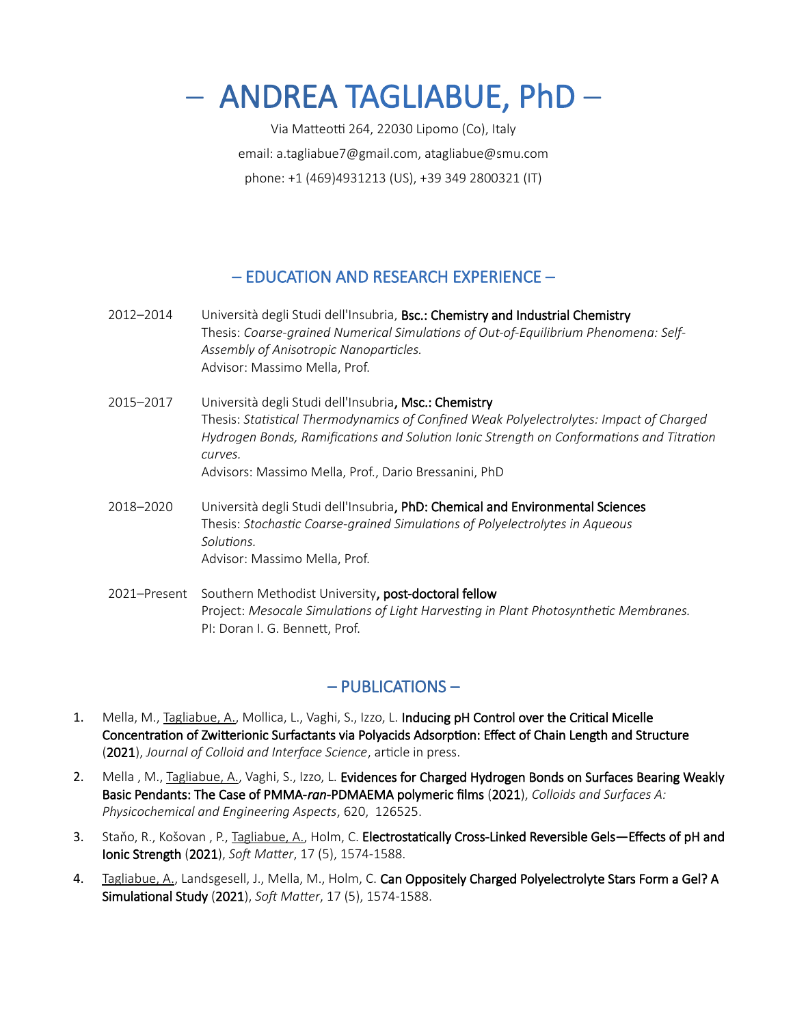# – ANDREA TAGLIABUE, PhD –

Via Matteotti 264, 22030 Lipomo (Co), Italy email: a.tagliabue7@gmail.com, atagliabue@smu.com phone: +1 (469)4931213 (US), +39 349 2800321 (IT)

# – EDUCATION AND RESEARCH EXPERIENCE –

- 2012–2014 Università degli Studi dell'Insubria, Bsc.: Chemistry and Industrial Chemistry Thesis: *Coarse-grained Numerical Simulations of Out-of-Equilibrium Phenomena: Self-Assembly of Anisotropic Nanoparticles.* Advisor: Massimo Mella, Prof.
- 2015–2017 Università degli Studi dell'Insubria, Msc.: Chemistry Thesis: *Statistical Thermodynamics of Confined Weak Polyelectrolytes: Impact of Charged Hydrogen Bonds, Ramifications and Solution Ionic Strength on Conformations and Titration curves.* Advisors: Massimo Mella, Prof., Dario Bressanini, PhD
- 2018–2020 Università degli Studi dell'Insubria, PhD: Chemical and Environmental Sciences Thesis: *Stochastic Coarse-grained Simulations of Polyelectrolytes in Aqueous Solutions.* Advisor: Massimo Mella, Prof.
- 2021–Present Southern Methodist University, post-doctoral fellow Project: *Mesocale Simulations of Light Harvesting in Plant Photosynthetic Membranes.* PI: Doran I. G. Bennett, Prof.

# – PUBLICATIONS –

- 1. Mella, M., Tagliabue, A., Mollica, L., Vaghi, S., Izzo, L. Inducing pH Control over the Critical Micelle Concentration of Zwitterionic Surfactants via Polyacids Adsorption: Effect of Chain Length and Structure (2021), *Journal of Colloid and Interface Science*, article in press.
- 2. Mella, M., Tagliabue, A., Vaghi, S., Izzo, L. Evidences for Charged Hydrogen Bonds on Surfaces Bearing Weakly Basic Pendants: The Case of PMMA-*ran*-PDMAEMA polymeric films (2021), *Colloids and Surfaces A: Physicochemical and Engineering Aspects*, 620, 126525.
- 3. Staňo, R., Košovan, P., Tagliabue, A., Holm, C. Electrostatically Cross-Linked Reversible Gels—Effects of pH and Ionic Strength (2021), *Soft Matter*, 17 (5), 1574-1588.
- 4. Tagliabue, A., Landsgesell, J., Mella, M., Holm, C. Can Oppositely Charged Polyelectrolyte Stars Form a Gel? A Simulational Study (2021), *Soft Matter*, 17 (5), 1574-1588.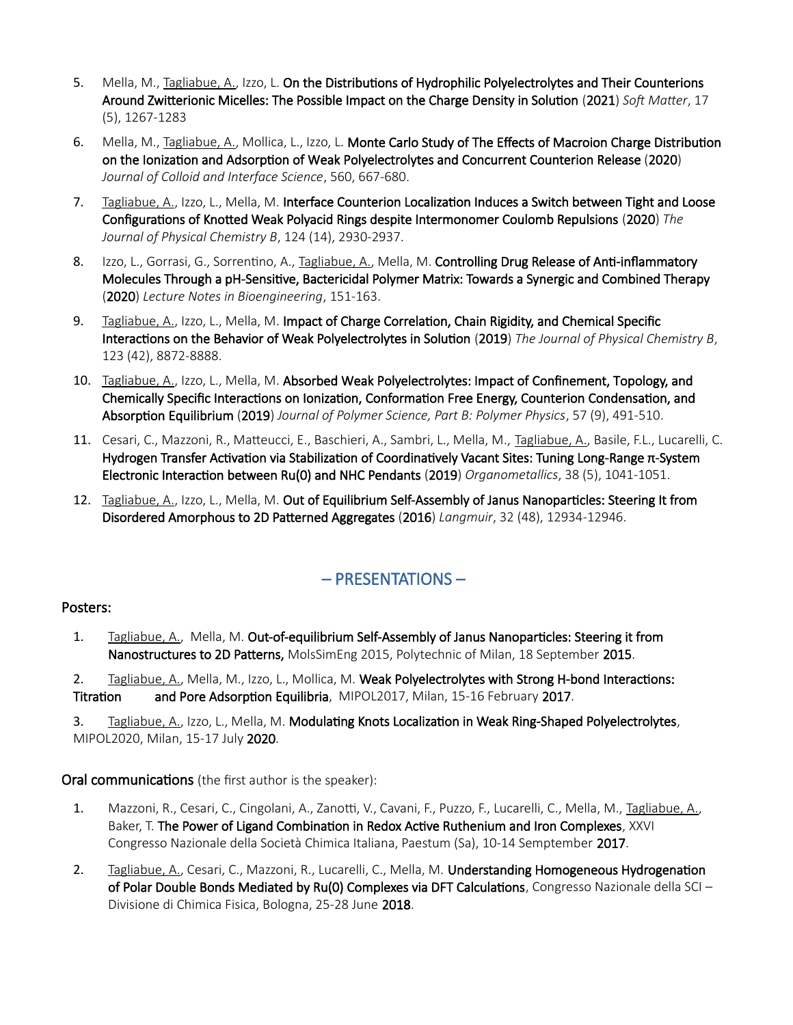- 5. Mella, M., Tagliabue, A., Izzo, L. On the Distributions of Hydrophilic Polyelectrolytes and Their Counterions Around Zwitterionic Micelles: The Possible Impact on the Charge Density in Solution (2021) *Soft Matter*, 17 (5), 1267-1283
- 6. Mella, M., Tagliabue, A., Mollica, L., Izzo, L. Monte Carlo Study of The Effects of Macroion Charge Distribution on the Ionization and Adsorption of Weak Polyelectrolytes and Concurrent Counterion Release (2020) *Journal of Colloid and Interface Science*, 560, 667-680.
- 7. Tagliabue, A., Izzo, L., Mella, M. Interface Counterion Localization Induces a Switch between Tight and Loose Configurations of Knotted Weak Polyacid Rings despite Intermonomer Coulomb Repulsions (2020) *The Journal of Physical Chemistry B*, 124 (14), 2930-2937.
- 8. Izzo, L., Gorrasi, G., Sorrentino, A., Tagliabue, A., Mella, M. Controlling Drug Release of Anti-inflammatory Molecules Through a pH-Sensitive, Bactericidal Polymer Matrix: Towards a Synergic and Combined Therapy (2020) *Lecture Notes in Bioengineering*, 151-163.
- 9. Tagliabue, A., Izzo, L., Mella, M. Impact of Charge Correlation, Chain Rigidity, and Chemical Specific Interactions on the Behavior of Weak Polyelectrolytes in Solution (2019) *The Journal of Physical Chemistry B*, 123 (42), 8872-8888.
- 10. Tagliabue, A., Izzo, L., Mella, M. Absorbed Weak Polyelectrolytes: Impact of Confinement, Topology, and Chemically Specific Interactions on Ionization, Conformation Free Energy, Counterion Condensation, and Absorption Equilibrium (2019) *Journal of Polymer Science, Part B: Polymer Physics*, 57 (9), 491-510.
- 11. Cesari, C., Mazzoni, R., Matteucci, E., Baschieri, A., Sambri, L., Mella, M., Tagliabue, A., Basile, F.L., Lucarelli, C. Hydrogen Transfer Activation via Stabilization of Coordinatively Vacant Sites: Tuning Long-Range π-System Electronic Interaction between Ru(0) and NHC Pendants (2019) *Organometallics*, 38 (5), 1041-1051.
- 12. Tagliabue, A., Izzo, L., Mella, M. Out of Equilibrium Self-Assembly of Janus Nanoparticles: Steering It from Disordered Amorphous to 2D Patterned Aggregates (2016) *Langmuir*, 32 (48), 12934-12946.

# – PRESENTATIONS –

## Posters:

1. Tagliabue, A., Mella, M. Out-of-equilibrium Self-Assembly of Janus Nanoparticles: Steering it from Nanostructures to 2D Patterns, MolsSimEng 2015, Polytechnic of Milan, 18 September 2015.

2. Tagliabue, A., Mella, M., Izzo, L., Mollica, M. Weak Polyelectrolytes with Strong H-bond Interactions: Titration and Pore Adsorption Equilibria, MIPOL2017, Milan, 15-16 February 2017.

3. Tagliabue, A., Izzo, L., Mella, M. Modulating Knots Localization in Weak Ring-Shaped Polyelectrolytes, MIPOL2020, Milan, 15-17 July 2020.

## Oral communications (the first author is the speaker):

- 1. Mazzoni, R., Cesari, C., Cingolani, A., Zanotti, V., Cavani, F., Puzzo, F., Lucarelli, C., Mella, M., Tagliabue, A., Baker, T. The Power of Ligand Combination in Redox Active Ruthenium and Iron Complexes, XXVI Congresso Nazionale della Società Chimica Italiana, Paestum (Sa), 10-14 Semptember 2017.
- 2. Tagliabue, A., Cesari, C., Mazzoni, R., Lucarelli, C., Mella, M. Understanding Homogeneous Hydrogenation of Polar Double Bonds Mediated by Ru(0) Complexes via DFT Calculations, Congresso Nazionale della SCI – Divisione di Chimica Fisica, Bologna, 25-28 June 2018.